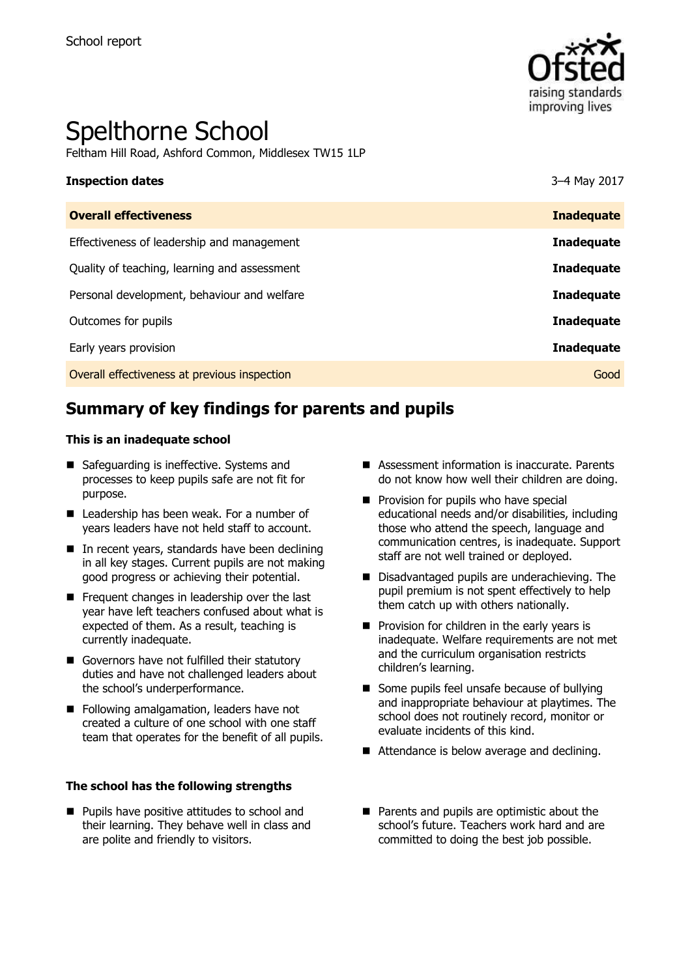

# Spelthorne School

Feltham Hill Road, Ashford Common, Middlesex TW15 1LP

| <b>Inspection dates</b>                      | 3-4 May 2017      |
|----------------------------------------------|-------------------|
| <b>Overall effectiveness</b>                 | <b>Inadequate</b> |
| Effectiveness of leadership and management   | <b>Inadequate</b> |
| Quality of teaching, learning and assessment | <b>Inadequate</b> |
| Personal development, behaviour and welfare  | <b>Inadequate</b> |
| Outcomes for pupils                          | <b>Inadequate</b> |
| Early years provision                        | <b>Inadequate</b> |
| Overall effectiveness at previous inspection | Good              |

# **Summary of key findings for parents and pupils**

#### **This is an inadequate school**

- Safeguarding is ineffective. Systems and processes to keep pupils safe are not fit for purpose.
- Leadership has been weak. For a number of years leaders have not held staff to account.
- In recent years, standards have been declining in all key stages. Current pupils are not making good progress or achieving their potential.
- Frequent changes in leadership over the last year have left teachers confused about what is expected of them. As a result, teaching is currently inadequate.
- Governors have not fulfilled their statutory duties and have not challenged leaders about the school's underperformance.
- Following amalgamation, leaders have not created a culture of one school with one staff team that operates for the benefit of all pupils.

#### **The school has the following strengths**

**Pupils have positive attitudes to school and** their learning. They behave well in class and are polite and friendly to visitors.

- Assessment information is inaccurate. Parents do not know how well their children are doing.
- $\blacksquare$  Provision for pupils who have special educational needs and/or disabilities, including those who attend the speech, language and communication centres, is inadequate. Support staff are not well trained or deployed.
- Disadvantaged pupils are underachieving. The pupil premium is not spent effectively to help them catch up with others nationally.
- $\blacksquare$  Provision for children in the early years is inadequate. Welfare requirements are not met and the curriculum organisation restricts children's learning.
- Some pupils feel unsafe because of bullying and inappropriate behaviour at playtimes. The school does not routinely record, monitor or evaluate incidents of this kind.
- Attendance is below average and declining.
- Parents and pupils are optimistic about the school's future. Teachers work hard and are committed to doing the best job possible.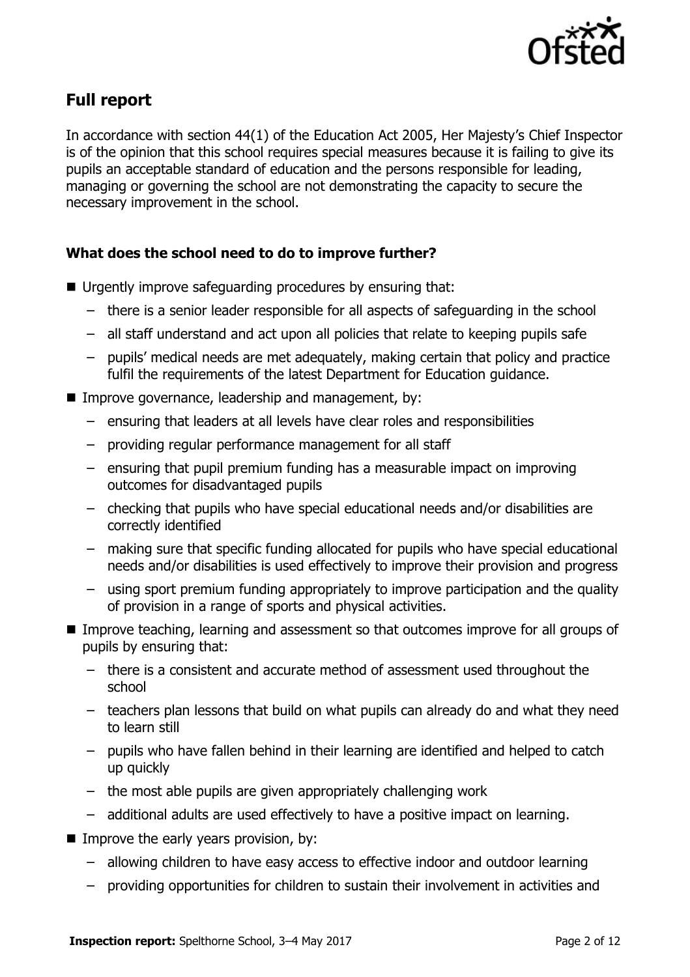

# **Full report**

In accordance with section 44(1) of the Education Act 2005, Her Majesty's Chief Inspector is of the opinion that this school requires special measures because it is failing to give its pupils an acceptable standard of education and the persons responsible for leading, managing or governing the school are not demonstrating the capacity to secure the necessary improvement in the school.

### **What does the school need to do to improve further?**

- Urgently improve safeguarding procedures by ensuring that:
	- there is a senior leader responsible for all aspects of safeguarding in the school
	- all staff understand and act upon all policies that relate to keeping pupils safe
	- pupils' medical needs are met adequately, making certain that policy and practice fulfil the requirements of the latest Department for Education guidance.
- **IMPROVE GOVE THANGE, leadership and management, by:** 
	- ensuring that leaders at all levels have clear roles and responsibilities
	- providing regular performance management for all staff
	- ensuring that pupil premium funding has a measurable impact on improving outcomes for disadvantaged pupils
	- checking that pupils who have special educational needs and/or disabilities are correctly identified
	- making sure that specific funding allocated for pupils who have special educational needs and/or disabilities is used effectively to improve their provision and progress
	- using sport premium funding appropriately to improve participation and the quality of provision in a range of sports and physical activities.
- **IMPROVE THE IMPROVE THE IMPROVE CONTING** IMPROVE teaching, learning and assessment so that outcomes improve for all groups of pupils by ensuring that:
	- there is a consistent and accurate method of assessment used throughout the school
	- teachers plan lessons that build on what pupils can already do and what they need to learn still
	- pupils who have fallen behind in their learning are identified and helped to catch up quickly
	- the most able pupils are given appropriately challenging work
	- additional adults are used effectively to have a positive impact on learning.
- Improve the early years provision, by:
	- allowing children to have easy access to effective indoor and outdoor learning
	- providing opportunities for children to sustain their involvement in activities and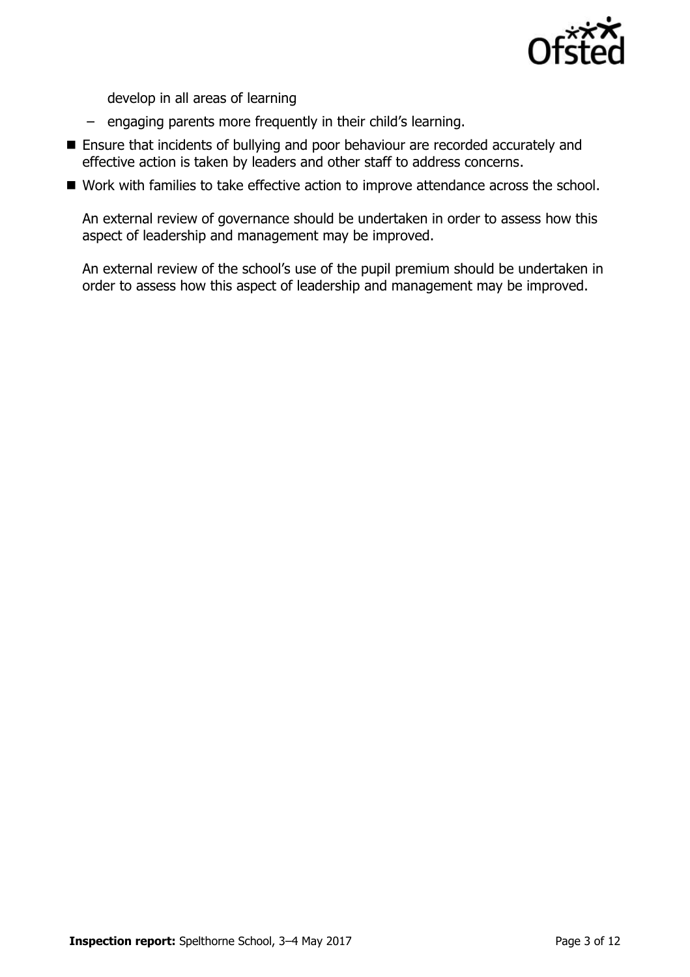

develop in all areas of learning

- engaging parents more frequently in their child's learning.
- Ensure that incidents of bullying and poor behaviour are recorded accurately and effective action is taken by leaders and other staff to address concerns.
- Work with families to take effective action to improve attendance across the school.

An external review of governance should be undertaken in order to assess how this aspect of leadership and management may be improved.

An external review of the school's use of the pupil premium should be undertaken in order to assess how this aspect of leadership and management may be improved.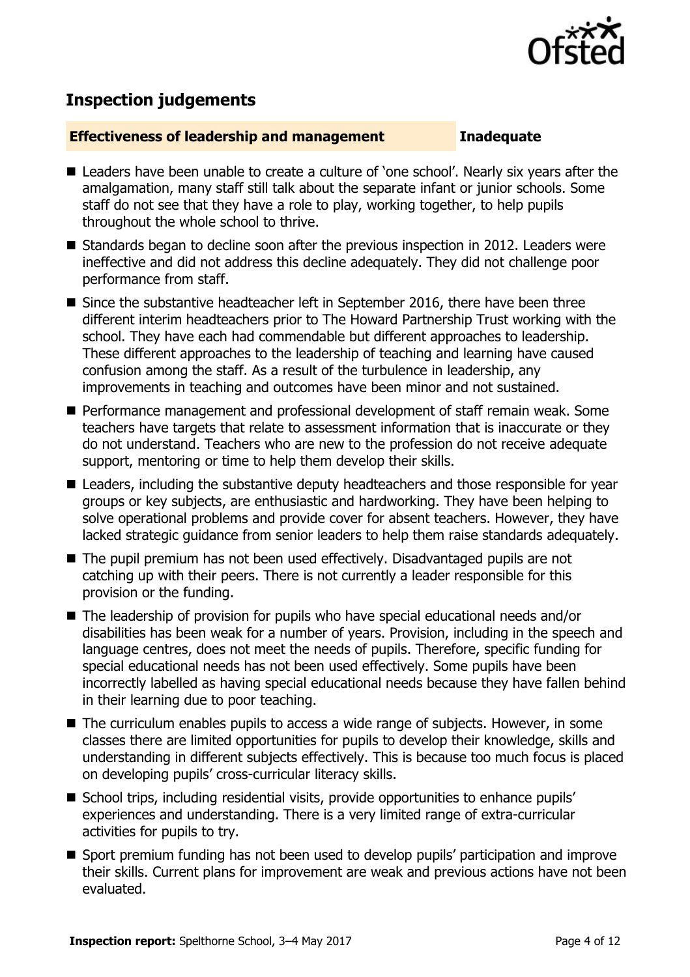

## **Inspection judgements**

#### **Effectiveness of leadership and management Inadequate**

- Leaders have been unable to create a culture of 'one school'. Nearly six years after the amalgamation, many staff still talk about the separate infant or junior schools. Some staff do not see that they have a role to play, working together, to help pupils throughout the whole school to thrive.
- Standards began to decline soon after the previous inspection in 2012. Leaders were ineffective and did not address this decline adequately. They did not challenge poor performance from staff.
- Since the substantive headteacher left in September 2016, there have been three different interim headteachers prior to The Howard Partnership Trust working with the school. They have each had commendable but different approaches to leadership. These different approaches to the leadership of teaching and learning have caused confusion among the staff. As a result of the turbulence in leadership, any improvements in teaching and outcomes have been minor and not sustained.
- **Performance management and professional development of staff remain weak. Some** teachers have targets that relate to assessment information that is inaccurate or they do not understand. Teachers who are new to the profession do not receive adequate support, mentoring or time to help them develop their skills.
- Leaders, including the substantive deputy headteachers and those responsible for year groups or key subjects, are enthusiastic and hardworking. They have been helping to solve operational problems and provide cover for absent teachers. However, they have lacked strategic guidance from senior leaders to help them raise standards adequately.
- The pupil premium has not been used effectively. Disadvantaged pupils are not catching up with their peers. There is not currently a leader responsible for this provision or the funding.
- The leadership of provision for pupils who have special educational needs and/or disabilities has been weak for a number of years. Provision, including in the speech and language centres, does not meet the needs of pupils. Therefore, specific funding for special educational needs has not been used effectively. Some pupils have been incorrectly labelled as having special educational needs because they have fallen behind in their learning due to poor teaching.
- The curriculum enables pupils to access a wide range of subjects. However, in some classes there are limited opportunities for pupils to develop their knowledge, skills and understanding in different subjects effectively. This is because too much focus is placed on developing pupils' cross-curricular literacy skills.
- School trips, including residential visits, provide opportunities to enhance pupils' experiences and understanding. There is a very limited range of extra-curricular activities for pupils to try.
- Sport premium funding has not been used to develop pupils' participation and improve their skills. Current plans for improvement are weak and previous actions have not been evaluated.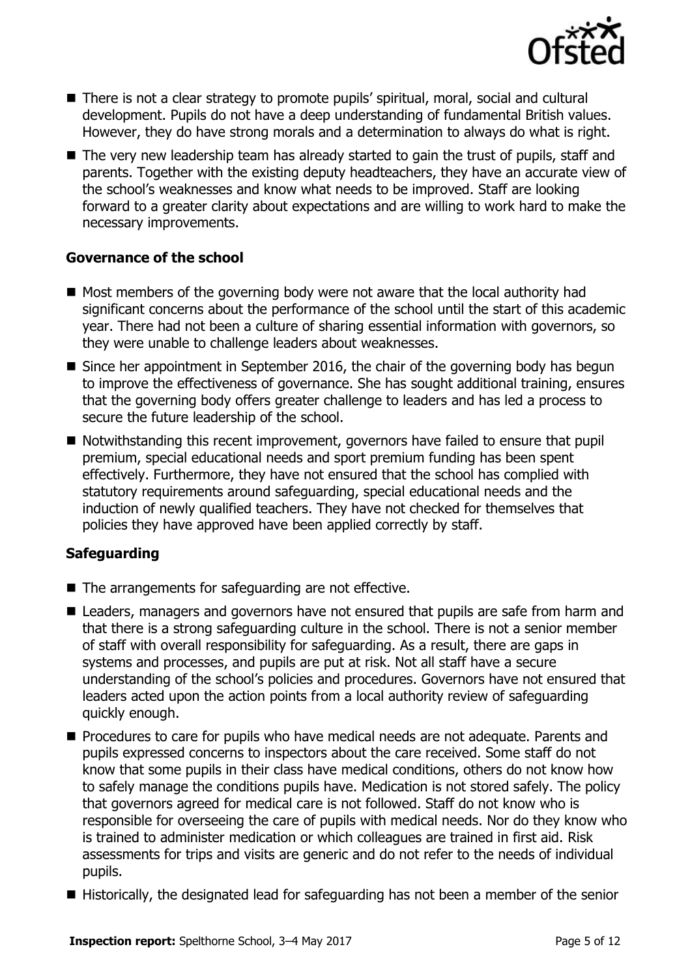

- There is not a clear strategy to promote pupils' spiritual, moral, social and cultural development. Pupils do not have a deep understanding of fundamental British values. However, they do have strong morals and a determination to always do what is right.
- The very new leadership team has already started to gain the trust of pupils, staff and parents. Together with the existing deputy headteachers, they have an accurate view of the school's weaknesses and know what needs to be improved. Staff are looking forward to a greater clarity about expectations and are willing to work hard to make the necessary improvements.

### **Governance of the school**

- $\blacksquare$  Most members of the governing body were not aware that the local authority had significant concerns about the performance of the school until the start of this academic year. There had not been a culture of sharing essential information with governors, so they were unable to challenge leaders about weaknesses.
- Since her appointment in September 2016, the chair of the governing body has begun to improve the effectiveness of governance. She has sought additional training, ensures that the governing body offers greater challenge to leaders and has led a process to secure the future leadership of the school.
- Notwithstanding this recent improvement, governors have failed to ensure that pupil premium, special educational needs and sport premium funding has been spent effectively. Furthermore, they have not ensured that the school has complied with statutory requirements around safeguarding, special educational needs and the induction of newly qualified teachers. They have not checked for themselves that policies they have approved have been applied correctly by staff.

### **Safeguarding**

- The arrangements for safeguarding are not effective.
- Leaders, managers and governors have not ensured that pupils are safe from harm and that there is a strong safeguarding culture in the school. There is not a senior member of staff with overall responsibility for safeguarding. As a result, there are gaps in systems and processes, and pupils are put at risk. Not all staff have a secure understanding of the school's policies and procedures. Governors have not ensured that leaders acted upon the action points from a local authority review of safeguarding quickly enough.
- **Procedures to care for pupils who have medical needs are not adequate. Parents and** pupils expressed concerns to inspectors about the care received. Some staff do not know that some pupils in their class have medical conditions, others do not know how to safely manage the conditions pupils have. Medication is not stored safely. The policy that governors agreed for medical care is not followed. Staff do not know who is responsible for overseeing the care of pupils with medical needs. Nor do they know who is trained to administer medication or which colleagues are trained in first aid. Risk assessments for trips and visits are generic and do not refer to the needs of individual pupils.
- Historically, the designated lead for safeguarding has not been a member of the senior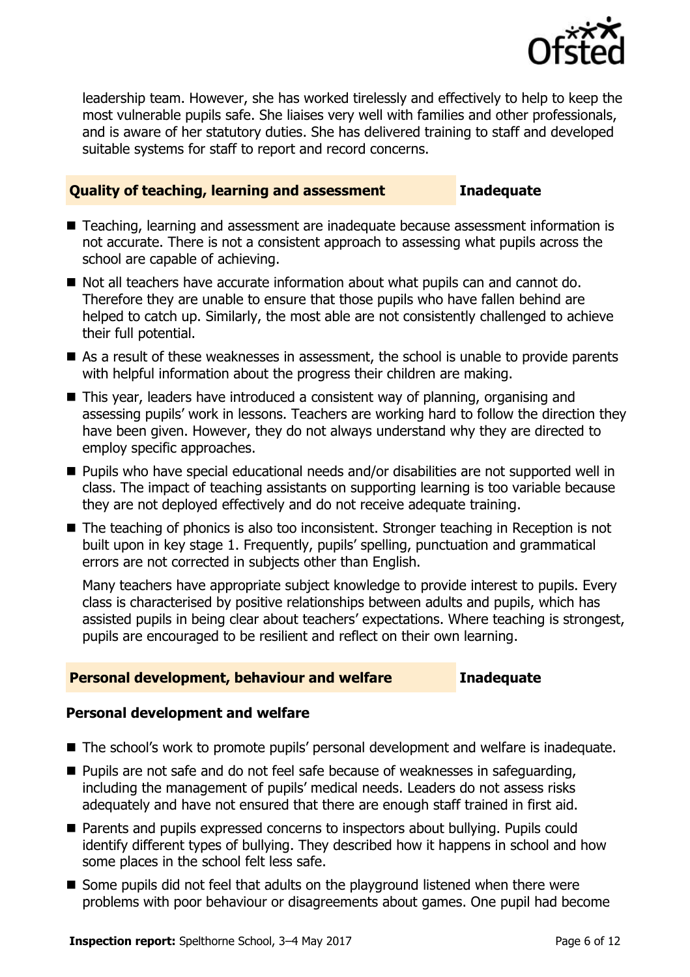

leadership team. However, she has worked tirelessly and effectively to help to keep the most vulnerable pupils safe. She liaises very well with families and other professionals, and is aware of her statutory duties. She has delivered training to staff and developed suitable systems for staff to report and record concerns.

#### **Quality of teaching, learning and assessment Inadequate**

- Teaching, learning and assessment are inadequate because assessment information is not accurate. There is not a consistent approach to assessing what pupils across the school are capable of achieving.
- Not all teachers have accurate information about what pupils can and cannot do. Therefore they are unable to ensure that those pupils who have fallen behind are helped to catch up. Similarly, the most able are not consistently challenged to achieve their full potential.
- As a result of these weaknesses in assessment, the school is unable to provide parents with helpful information about the progress their children are making.
- This year, leaders have introduced a consistent way of planning, organising and assessing pupils' work in lessons. Teachers are working hard to follow the direction they have been given. However, they do not always understand why they are directed to employ specific approaches.
- Pupils who have special educational needs and/or disabilities are not supported well in class. The impact of teaching assistants on supporting learning is too variable because they are not deployed effectively and do not receive adequate training.
- The teaching of phonics is also too inconsistent. Stronger teaching in Reception is not built upon in key stage 1. Frequently, pupils' spelling, punctuation and grammatical errors are not corrected in subjects other than English.

Many teachers have appropriate subject knowledge to provide interest to pupils. Every class is characterised by positive relationships between adults and pupils, which has assisted pupils in being clear about teachers' expectations. Where teaching is strongest, pupils are encouraged to be resilient and reflect on their own learning.

### **Personal development, behaviour and welfare Inadequate**

### **Personal development and welfare**

- The school's work to promote pupils' personal development and welfare is inadequate.
- **Pupils are not safe and do not feel safe because of weaknesses in safeguarding,** including the management of pupils' medical needs. Leaders do not assess risks adequately and have not ensured that there are enough staff trained in first aid.
- Parents and pupils expressed concerns to inspectors about bullying. Pupils could identify different types of bullying. They described how it happens in school and how some places in the school felt less safe.
- Some pupils did not feel that adults on the playground listened when there were problems with poor behaviour or disagreements about games. One pupil had become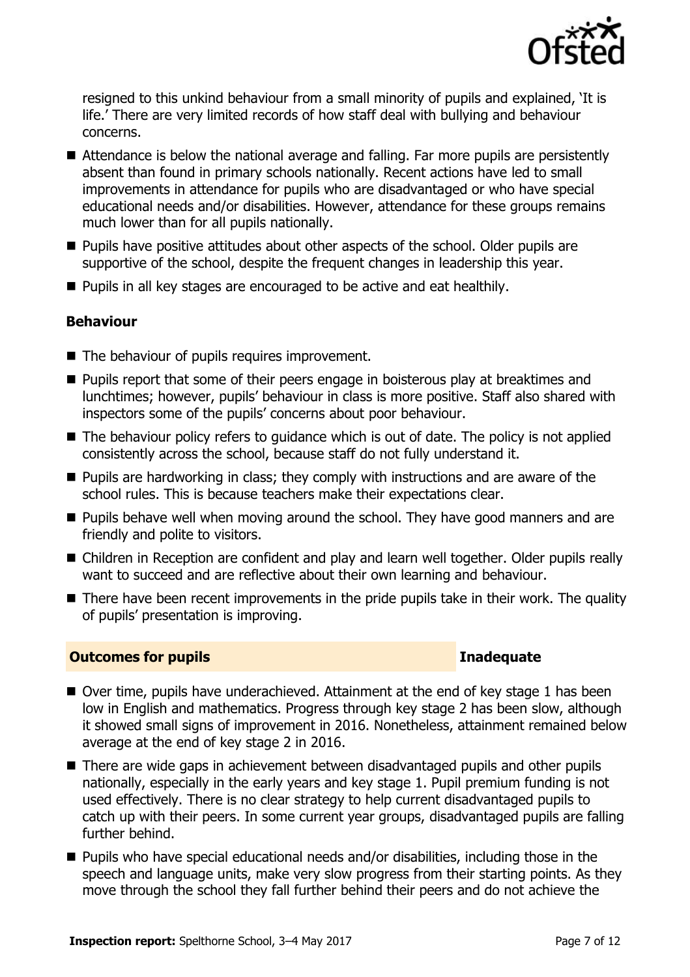

resigned to this unkind behaviour from a small minority of pupils and explained, 'It is life.' There are very limited records of how staff deal with bullying and behaviour concerns.

- Attendance is below the national average and falling. Far more pupils are persistently absent than found in primary schools nationally. Recent actions have led to small improvements in attendance for pupils who are disadvantaged or who have special educational needs and/or disabilities. However, attendance for these groups remains much lower than for all pupils nationally.
- $\blacksquare$  Pupils have positive attitudes about other aspects of the school. Older pupils are supportive of the school, despite the frequent changes in leadership this year.
- **Pupils in all key stages are encouraged to be active and eat healthily.**

### **Behaviour**

- The behaviour of pupils requires improvement.
- **Pupils report that some of their peers engage in boisterous play at breaktimes and** lunchtimes; however, pupils' behaviour in class is more positive. Staff also shared with inspectors some of the pupils' concerns about poor behaviour.
- The behaviour policy refers to quidance which is out of date. The policy is not applied consistently across the school, because staff do not fully understand it.
- **Pupils are hardworking in class; they comply with instructions and are aware of the** school rules. This is because teachers make their expectations clear.
- **Pupils behave well when moving around the school. They have good manners and are** friendly and polite to visitors.
- Children in Reception are confident and play and learn well together. Older pupils really want to succeed and are reflective about their own learning and behaviour.
- There have been recent improvements in the pride pupils take in their work. The quality of pupils' presentation is improving.

#### **Outcomes for pupils Inadequate**

- Over time, pupils have underachieved. Attainment at the end of key stage 1 has been low in English and mathematics. Progress through key stage 2 has been slow, although it showed small signs of improvement in 2016. Nonetheless, attainment remained below average at the end of key stage 2 in 2016.
- There are wide gaps in achievement between disadvantaged pupils and other pupils nationally, especially in the early years and key stage 1. Pupil premium funding is not used effectively. There is no clear strategy to help current disadvantaged pupils to catch up with their peers. In some current year groups, disadvantaged pupils are falling further behind.
- Pupils who have special educational needs and/or disabilities, including those in the speech and language units, make very slow progress from their starting points. As they move through the school they fall further behind their peers and do not achieve the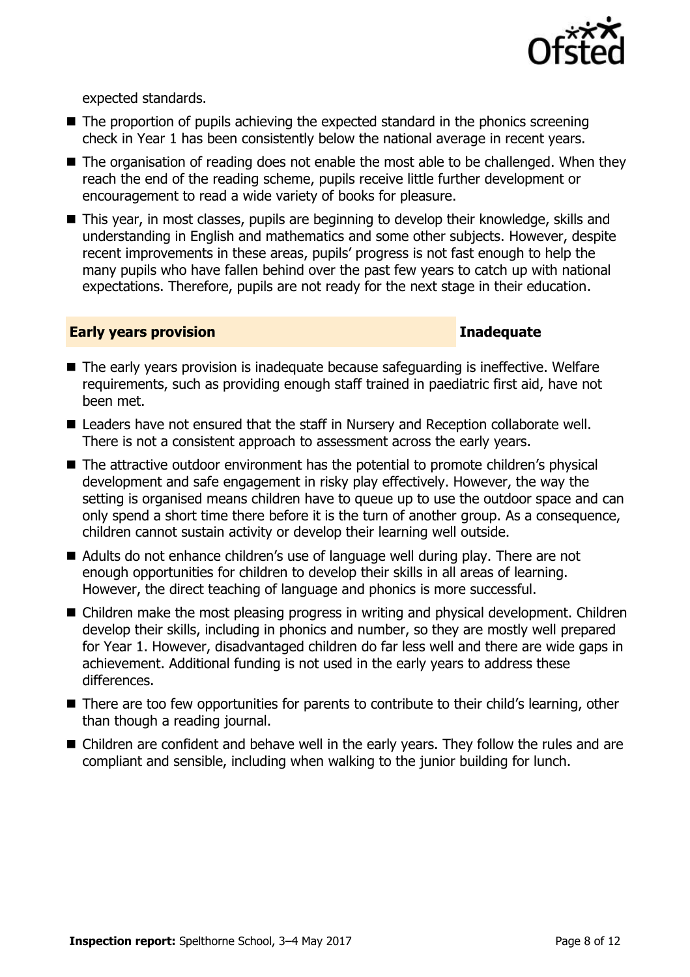

expected standards.

- $\blacksquare$  The proportion of pupils achieving the expected standard in the phonics screening check in Year 1 has been consistently below the national average in recent years.
- The organisation of reading does not enable the most able to be challenged. When they reach the end of the reading scheme, pupils receive little further development or encouragement to read a wide variety of books for pleasure.
- This year, in most classes, pupils are beginning to develop their knowledge, skills and understanding in English and mathematics and some other subjects. However, despite recent improvements in these areas, pupils' progress is not fast enough to help the many pupils who have fallen behind over the past few years to catch up with national expectations. Therefore, pupils are not ready for the next stage in their education.

#### **Early years provision Inadequate**

- The early years provision is inadequate because safequarding is ineffective. Welfare requirements, such as providing enough staff trained in paediatric first aid, have not been met.
- Leaders have not ensured that the staff in Nursery and Reception collaborate well. There is not a consistent approach to assessment across the early years.
- The attractive outdoor environment has the potential to promote children's physical development and safe engagement in risky play effectively. However, the way the setting is organised means children have to queue up to use the outdoor space and can only spend a short time there before it is the turn of another group. As a consequence, children cannot sustain activity or develop their learning well outside.
- Adults do not enhance children's use of language well during play. There are not enough opportunities for children to develop their skills in all areas of learning. However, the direct teaching of language and phonics is more successful.
- Children make the most pleasing progress in writing and physical development. Children develop their skills, including in phonics and number, so they are mostly well prepared for Year 1. However, disadvantaged children do far less well and there are wide gaps in achievement. Additional funding is not used in the early years to address these differences.
- There are too few opportunities for parents to contribute to their child's learning, other than though a reading journal.
- Children are confident and behave well in the early years. They follow the rules and are compliant and sensible, including when walking to the junior building for lunch.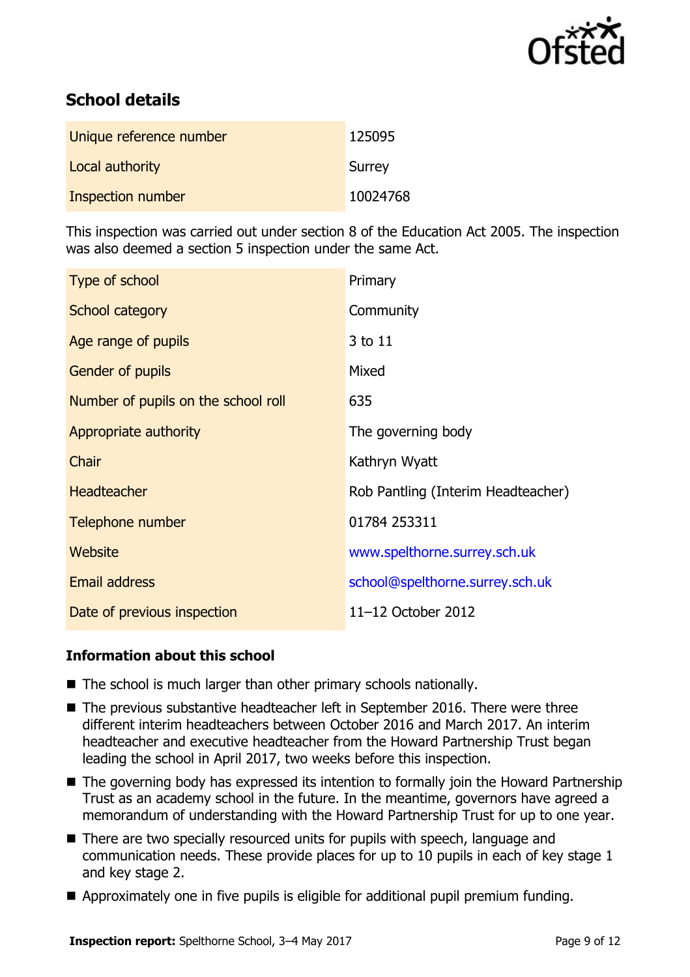

# **School details**

| Unique reference number | 125095   |
|-------------------------|----------|
| Local authority         | Surrey   |
| Inspection number       | 10024768 |

This inspection was carried out under section 8 of the Education Act 2005. The inspection was also deemed a section 5 inspection under the same Act.

| Type of school                      | Primary                            |
|-------------------------------------|------------------------------------|
| School category                     | Community                          |
| Age range of pupils                 | 3 to 11                            |
| Gender of pupils                    | Mixed                              |
| Number of pupils on the school roll | 635                                |
| Appropriate authority               | The governing body                 |
| Chair                               | Kathryn Wyatt                      |
| <b>Headteacher</b>                  | Rob Pantling (Interim Headteacher) |
| Telephone number                    | 01784 253311                       |
| <b>Website</b>                      | www.spelthorne.surrey.sch.uk       |
| <b>Email address</b>                | school@spelthorne.surrey.sch.uk    |
| Date of previous inspection         | 11-12 October 2012                 |

#### **Information about this school**

- The school is much larger than other primary schools nationally.
- The previous substantive headteacher left in September 2016. There were three different interim headteachers between October 2016 and March 2017. An interim headteacher and executive headteacher from the Howard Partnership Trust began leading the school in April 2017, two weeks before this inspection.
- The governing body has expressed its intention to formally join the Howard Partnership Trust as an academy school in the future. In the meantime, governors have agreed a memorandum of understanding with the Howard Partnership Trust for up to one year.
- There are two specially resourced units for pupils with speech, language and communication needs. These provide places for up to 10 pupils in each of key stage 1 and key stage 2.
- Approximately one in five pupils is eligible for additional pupil premium funding.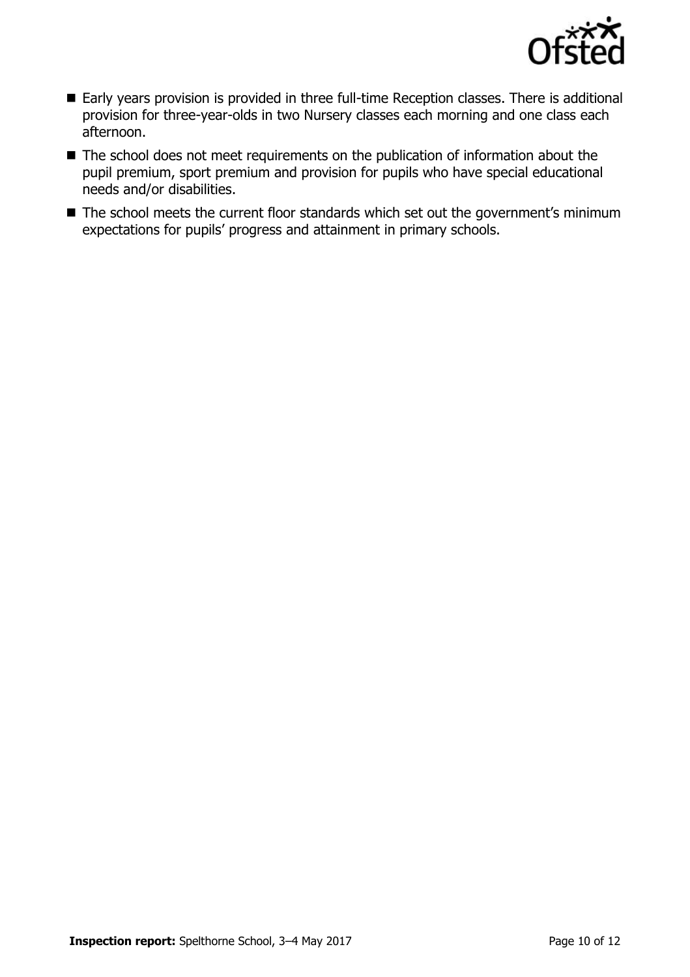

- Early years provision is provided in three full-time Reception classes. There is additional provision for three-year-olds in two Nursery classes each morning and one class each afternoon.
- The school does not meet requirements on the publication of information about the pupil premium, sport premium and provision for pupils who have special educational needs and/or disabilities.
- The school meets the current floor standards which set out the government's minimum expectations for pupils' progress and attainment in primary schools.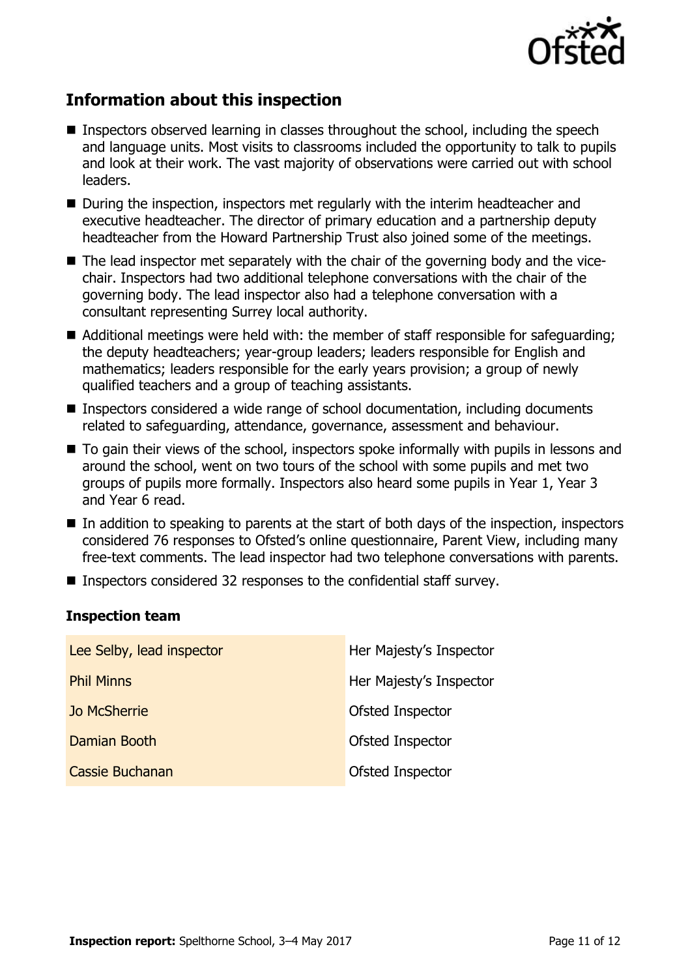

# **Information about this inspection**

- Inspectors observed learning in classes throughout the school, including the speech and language units. Most visits to classrooms included the opportunity to talk to pupils and look at their work. The vast majority of observations were carried out with school leaders.
- During the inspection, inspectors met regularly with the interim headteacher and executive headteacher. The director of primary education and a partnership deputy headteacher from the Howard Partnership Trust also joined some of the meetings.
- The lead inspector met separately with the chair of the governing body and the vicechair. Inspectors had two additional telephone conversations with the chair of the governing body. The lead inspector also had a telephone conversation with a consultant representing Surrey local authority.
- Additional meetings were held with: the member of staff responsible for safequarding; the deputy headteachers; year-group leaders; leaders responsible for English and mathematics; leaders responsible for the early years provision; a group of newly qualified teachers and a group of teaching assistants.
- Inspectors considered a wide range of school documentation, including documents related to safeguarding, attendance, governance, assessment and behaviour.
- $\blacksquare$  To gain their views of the school, inspectors spoke informally with pupils in lessons and around the school, went on two tours of the school with some pupils and met two groups of pupils more formally. Inspectors also heard some pupils in Year 1, Year 3 and Year 6 read.
- $\blacksquare$  In addition to speaking to parents at the start of both days of the inspection, inspectors considered 76 responses to Ofsted's online questionnaire, Parent View, including many free-text comments. The lead inspector had two telephone conversations with parents.
- Inspectors considered 32 responses to the confidential staff survey.

#### **Inspection team**

| Lee Selby, lead inspector | Her Majesty's Inspector |
|---------------------------|-------------------------|
| <b>Phil Minns</b>         | Her Majesty's Inspector |
| <b>Jo McSherrie</b>       | Ofsted Inspector        |
| Damian Booth              | Ofsted Inspector        |
| Cassie Buchanan           | Ofsted Inspector        |